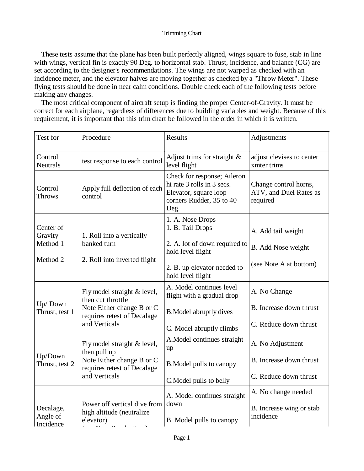## Trimming Chart

 These tests assume that the plane has been built perfectly aligned, wings square to fuse, stab in line with wings, vertical fin is exactly 90 Deg. to horizontal stab. Thrust, incidence, and balance (CG) are set according to the designer's recommendations. The wings are not warped as checked with an incidence meter, and the elevator halves are moving together as checked by a "Throw Meter". These flying tests should be done in near calm conditions. Double check each of the following tests before making any changes.

 The most critical component of aircraft setup is finding the proper Center-of-Gravity. It must be correct for each airplane, regardless of differences due to building variables and weight. Because of this requirement, it is important that this trim chart be followed in the order in which it is written.

| Test for                           | Procedure                                                                                                                     | <b>Results</b>                                                                                                         | Adjustments                                                 |
|------------------------------------|-------------------------------------------------------------------------------------------------------------------------------|------------------------------------------------------------------------------------------------------------------------|-------------------------------------------------------------|
| Control<br><b>Neutrals</b>         | test response to each control                                                                                                 | Adjust trims for straight $\&$<br>level flight                                                                         | adjust clevises to center<br>xmter trims                    |
| Control<br><b>Throws</b>           | Apply full deflection of each<br>control                                                                                      | Check for response; Aileron<br>hi rate 3 rolls in 3 secs.<br>Elevator, square loop<br>corners Rudder, 35 to 40<br>Deg. | Change control horns,<br>ATV, and Duel Rates as<br>required |
| Center of<br>Gravity               | 1. Roll into a vertically                                                                                                     | 1. A. Nose Drops<br>1. B. Tail Drops                                                                                   | A. Add tail weight                                          |
| Method 1                           | banked turn                                                                                                                   | 2. A. lot of down required to<br>hold level flight                                                                     | B. Add Nose weight                                          |
| Method 2                           | 2. Roll into inverted flight                                                                                                  | 2. B. up elevator needed to<br>hold level flight                                                                       | (see Note A at bottom)                                      |
| Up/Down<br>Thrust, test 1          | Fly model straight & level,<br>then cut throttle<br>Note Either change B or C<br>requires retest of Decalage<br>and Verticals | A. Model continues level<br>flight with a gradual drop                                                                 | A. No Change                                                |
|                                    |                                                                                                                               | <b>B.</b> Model abruptly dives                                                                                         | B. Increase down thrust                                     |
|                                    |                                                                                                                               | C. Model abruptly climbs                                                                                               | C. Reduce down thrust                                       |
| Up/Down<br>Thrust, test 2          | Fly model straight & level,<br>then pull up<br>Note Either change B or C<br>requires retest of Decalage<br>and Verticals      | A. Model continues straight<br>up                                                                                      | A. No Adjustment                                            |
|                                    |                                                                                                                               | <b>B.Model pulls to canopy</b>                                                                                         | B. Increase down thrust                                     |
|                                    |                                                                                                                               | C. Model pulls to belly                                                                                                | C. Reduce down thrust                                       |
|                                    |                                                                                                                               | A. Model continues straight                                                                                            | A. No change needed                                         |
| Decalage,<br>Angle of<br>Incidence | Power off vertical dive from<br>high altitude (neutralize<br>elevator)                                                        | down<br>B. Model pulls to canopy                                                                                       | B. Increase wing or stab<br>incidence                       |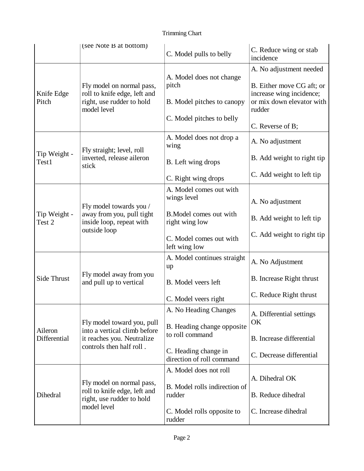## Trimming Chart

|                         | (see Note B at bottom)                                                                                               | C. Model pulls to belly                                                                                                                                                                                                                                                                       | C. Reduce wing or stab<br>incidence                             |
|-------------------------|----------------------------------------------------------------------------------------------------------------------|-----------------------------------------------------------------------------------------------------------------------------------------------------------------------------------------------------------------------------------------------------------------------------------------------|-----------------------------------------------------------------|
| Knife Edge<br>Pitch     | Fly model on normal pass,<br>roll to knife edge, left and<br>right, use rudder to hold<br>model level                | A. Model does not change<br>pitch                                                                                                                                                                                                                                                             | A. No adjustment needed<br>B. Either move CG aft; or            |
|                         |                                                                                                                      | B. Model pitches to canopy                                                                                                                                                                                                                                                                    | increase wing incidence;<br>or mix down elevator with<br>rudder |
|                         |                                                                                                                      |                                                                                                                                                                                                                                                                                               | C. Reverse of B;                                                |
| Tip Weight -<br>Test1   | Fly straight; level, roll<br>inverted, release aileron<br>stick                                                      | A. Model does not drop a<br>wing                                                                                                                                                                                                                                                              | A. No adjustment                                                |
|                         |                                                                                                                      | B. Left wing drops                                                                                                                                                                                                                                                                            | B. Add weight to right tip                                      |
|                         |                                                                                                                      | C. Right wing drops                                                                                                                                                                                                                                                                           | C. Add weight to left tip                                       |
| Tip Weight -<br>Test 2  | Fly model towards you /<br>away from you, pull tight<br>inside loop, repeat with<br>outside loop                     | A. Model comes out with<br>wings level                                                                                                                                                                                                                                                        | A. No adjustment                                                |
|                         |                                                                                                                      | B. Model comes out with<br>right wing low                                                                                                                                                                                                                                                     | B. Add weight to left tip                                       |
|                         |                                                                                                                      | C. Model comes out with<br>left wing low                                                                                                                                                                                                                                                      | C. Add weight to right tip                                      |
| <b>Side Thrust</b>      | Fly model away from you<br>and pull up to vertical                                                                   | A. Model continues straight<br>up                                                                                                                                                                                                                                                             | A. No Adjustment                                                |
|                         |                                                                                                                      | B. Model veers left                                                                                                                                                                                                                                                                           | B. Increase Right thrust                                        |
|                         |                                                                                                                      | C. Model pitches to belly<br>C. Model veers right<br>A. No Heading Changes<br>B. Heading change opposite<br>to roll command<br>C. Heading change in<br>direction of roll command<br>A. Model does not roll<br>B. Model rolls indirection of<br>rudder<br>C. Model rolls opposite to<br>rudder | C. Reduce Right thrust                                          |
| Aileron<br>Differential | Fly model toward you, pull<br>into a vertical climb before<br>it reaches you. Neutralize<br>controls then half roll. |                                                                                                                                                                                                                                                                                               | A. Differential settings<br>OK                                  |
|                         |                                                                                                                      |                                                                                                                                                                                                                                                                                               | B. Increase differential                                        |
|                         |                                                                                                                      |                                                                                                                                                                                                                                                                                               | C. Decrease differential                                        |
| Dihedral                | Fly model on normal pass,<br>roll to knife edge, left and<br>right, use rudder to hold<br>model level                |                                                                                                                                                                                                                                                                                               | A. Dihedral OK                                                  |
|                         |                                                                                                                      |                                                                                                                                                                                                                                                                                               | B. Reduce dihedral                                              |
|                         |                                                                                                                      |                                                                                                                                                                                                                                                                                               | C. Increase dihedral                                            |